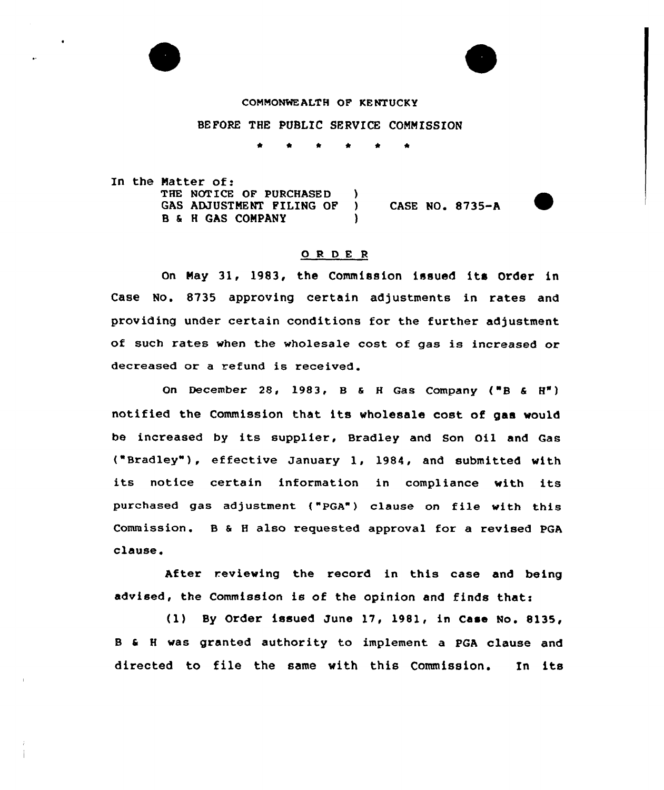

#### COMMONWEALTH OF KENTUCKY

# BEFORE THE PUBLIC SERVICE COMMISSION

\* \* \* \* <sup>4</sup> \*

In the Natter of: THE NOTICE OF PURCHASED )<br>GAS ADJUSTMENT FILING OF ) GAS ADJUSTMENT FILING OF ) CASE NO. 8735-A B & H GAS COMPANY )

### 0 <sup>R</sup> <sup>D</sup> E <sup>R</sup>

On Nay 31, 1983, the Commission issued its Order in Case No. 8735 appxoving certain adjustments in rates and providing under certain conditions for the further adjustment of such rates when the wholesale cost of gas is increased or decreased or a refund is received.

On December 28, 1983, B & H Gas Company ("B &  $H''$ ) notified the Commission that its wholesale cost of gas would be increased by its suppliex, Bradley and Son Oil and Gas ("Bradley" ), effective January 1, 1984, and submitted with its notice certain information in compliance with its puxchased gas adjustment {"PGA") clause on file with this Commission. B <sup>6</sup> <sup>H</sup> also requested approval for a revised PGA clause.

After reviewing the record in this case and being advised, the Commission is of the opinion and finds thati

(1) By Order issued June 17, 198l, in Case No. 8135, <sup>B</sup> <sup>0</sup> <sup>H</sup> was granted authority to implement a PGA clause and directed to file the same with this Commission. In its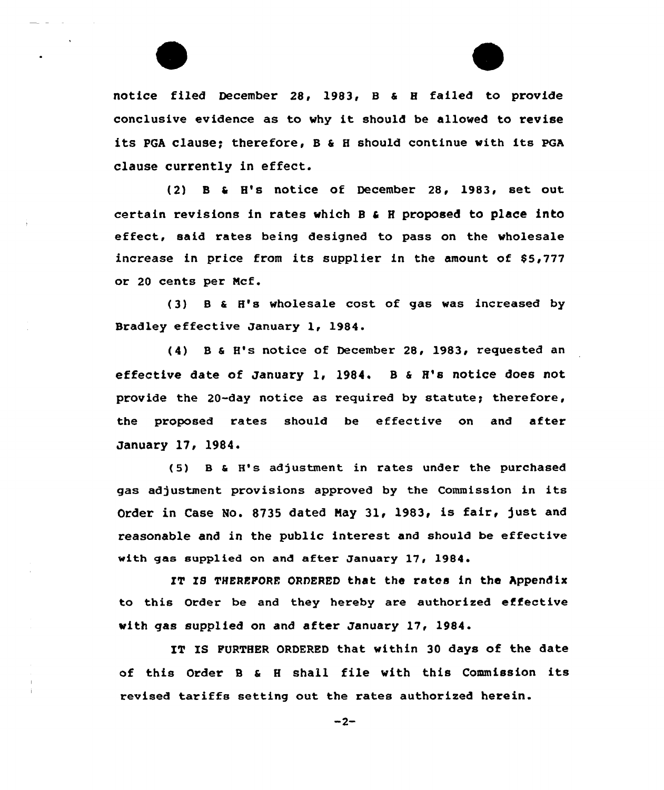



notice filed December 28, 1983, 8 a 8 failed to provide conclusive evidence as to why it should be allowed to revise its PGA clause; therefore, B  $\varepsilon$  H should continue with its PGA clause currently in effect.

(2) <sup>B</sup> <sup>4</sup> H's notice of December 28, 1983, set out certain revisions in rates which <sup>B</sup> <sup>a</sup> <sup>H</sup> proposed to place into effect, said rates being designed to pass on the wholesale increase in price from its supplier in the amount of  $$5,777$ or 20 cents per Ncf.

(3) 8 <sup>a</sup> H's wholesale cost, of gas was increased by Bradley effective January 1, 1984.

(4) 8 <sup>6</sup> H's notice of December 28, 1983, requested an effective date of January 1, 1984. B  $\epsilon$  H's notice does not provide the 20-day notice as required by statute; therefore, the proposed rates should be effective on and after January 17, 1984.

(5) 8 <sup>a</sup> H's adjustment in rates under the purchased gas adjustment provisions approved by the Commission in its Order in Case No. 8735 dated May 31, 1983, is fair, just and reasonable and in the public interest and should be effective with gas supplied on and after January 17, 1984.

IT IS THEREFORE ORDERED that the rates in the hppendix to this Order be and they hereby are authorized effective with gas supplied on and after January 17, 1984.

IT IS FURTHER ORDERED that within 30 days of the date of this Order <sup>B</sup> <sup>a</sup> <sup>H</sup> shall file with this Commission its revised tariffs setting out the rates authorized herein.

 $-2-$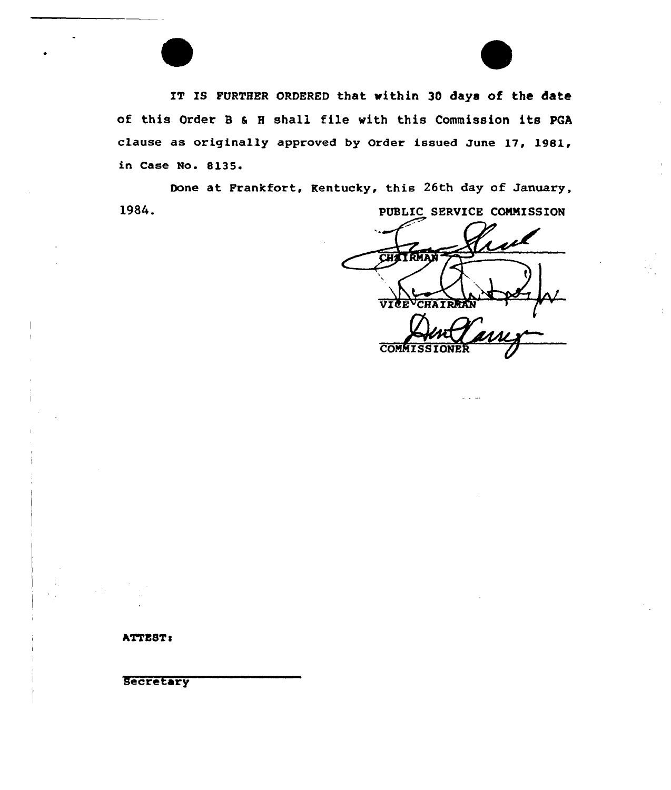IT IS FURTHER ORDERED that within 30 days of the date of this Order <sup>B</sup> <sup>a</sup> <sup>H</sup> shall file with this Commission its PGA clause as originally approved by Order issued June 17, 19&1, in Case No. &135.

1984. Done at Frankfort, Kentucky, this 26th day of January, PUBLIC SERVICE COMMISSION

**CH** *STATES* CHA IR COMMISSI

ATTEST:

Secretary